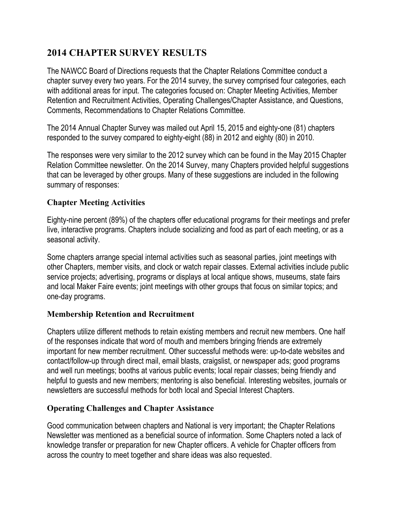# **2014 CHAPTER SURVEY RESULTS**

The NAWCC Board of Directions requests that the Chapter Relations Committee conduct a chapter survey every two years. For the 2014 survey, the survey comprised four categories, each with additional areas for input. The categories focused on: Chapter Meeting Activities, Member Retention and Recruitment Activities, Operating Challenges/Chapter Assistance, and Questions, Comments, Recommendations to Chapter Relations Committee.

The 2014 Annual Chapter Survey was mailed out April 15, 2015 and eighty-one (81) chapters responded to the survey compared to eighty-eight (88) in 2012 and eighty (80) in 2010.

The responses were very similar to the 2012 survey which can be found in the May 2015 Chapter Relation Committee newsletter. On the 2014 Survey, many Chapters provided helpful suggestions that can be leveraged by other groups. Many of these suggestions are included in the following summary of responses:

## **Chapter Meeting Activities**

Eighty-nine percent (89%) of the chapters offer educational programs for their meetings and prefer live, interactive programs. Chapters include socializing and food as part of each meeting, or as a seasonal activity.

Some chapters arrange special internal activities such as seasonal parties, joint meetings with other Chapters, member visits, and clock or watch repair classes. External activities include public service projects; advertising, programs or displays at local antique shows, museums, state fairs and local Maker Faire events; joint meetings with other groups that focus on similar topics; and one-day programs.

## **Membership Retention and Recruitment**

Chapters utilize different methods to retain existing members and recruit new members. One half of the responses indicate that word of mouth and members bringing friends are extremely important for new member recruitment. Other successful methods were: up-to-date websites and contact/follow-up through direct mail, email blasts, craigslist, or newspaper ads; good programs and well run meetings; booths at various public events; local repair classes; being friendly and helpful to guests and new members; mentoring is also beneficial. Interesting websites, journals or newsletters are successful methods for both local and Special Interest Chapters.

## **Operating Challenges and Chapter Assistance**

Good communication between chapters and National is very important; the Chapter Relations Newsletter was mentioned as a beneficial source of information. Some Chapters noted a lack of knowledge transfer or preparation for new Chapter officers. A vehicle for Chapter officers from across the country to meet together and share ideas was also requested.